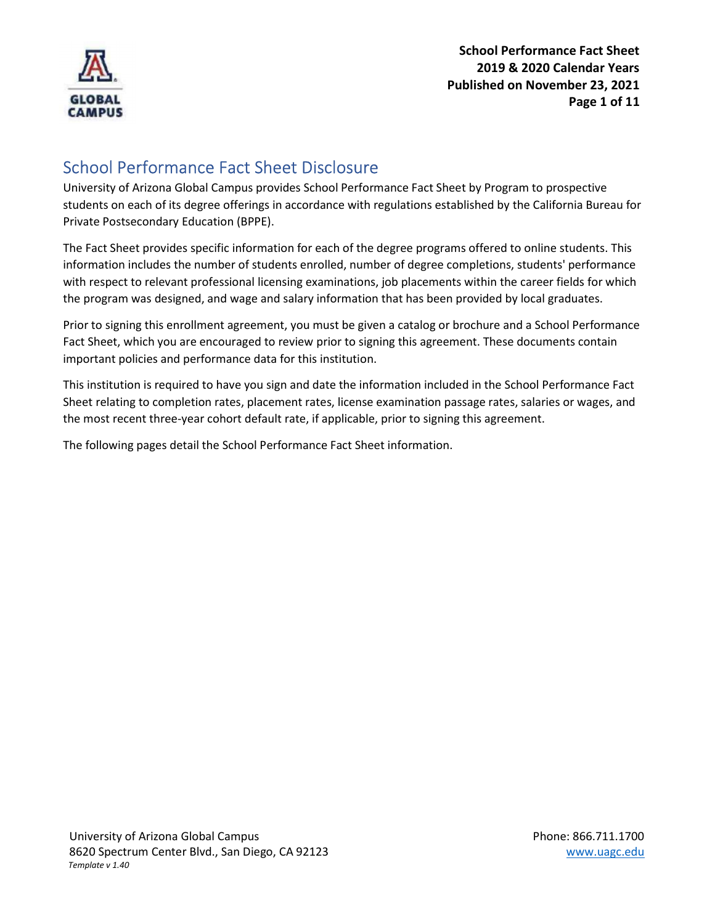

## School Performance Fact Sheet Disclosure

University of Arizona Global Campus provides School Performance Fact Sheet by Program to prospective students on each of its degree offerings in accordance with regulations established by the California Bureau for Private Postsecondary Education (BPPE).

The Fact Sheet provides specific information for each of the degree programs offered to online students. This information includes the number of students enrolled, number of degree completions, students' performance with respect to relevant professional licensing examinations, job placements within the career fields for which the program was designed, and wage and salary information that has been provided by local graduates.

Prior to signing this enrollment agreement, you must be given a catalog or brochure and a School Performance Fact Sheet, which you are encouraged to review prior to signing this agreement. These documents contain important policies and performance data for this institution.

This institution is required to have you sign and date the information included in the School Performance Fact Sheet relating to completion rates, placement rates, license examination passage rates, salaries or wages, and the most recent three-year cohort default rate, if applicable, prior to signing this agreement.

The following pages detail the School Performance Fact Sheet information.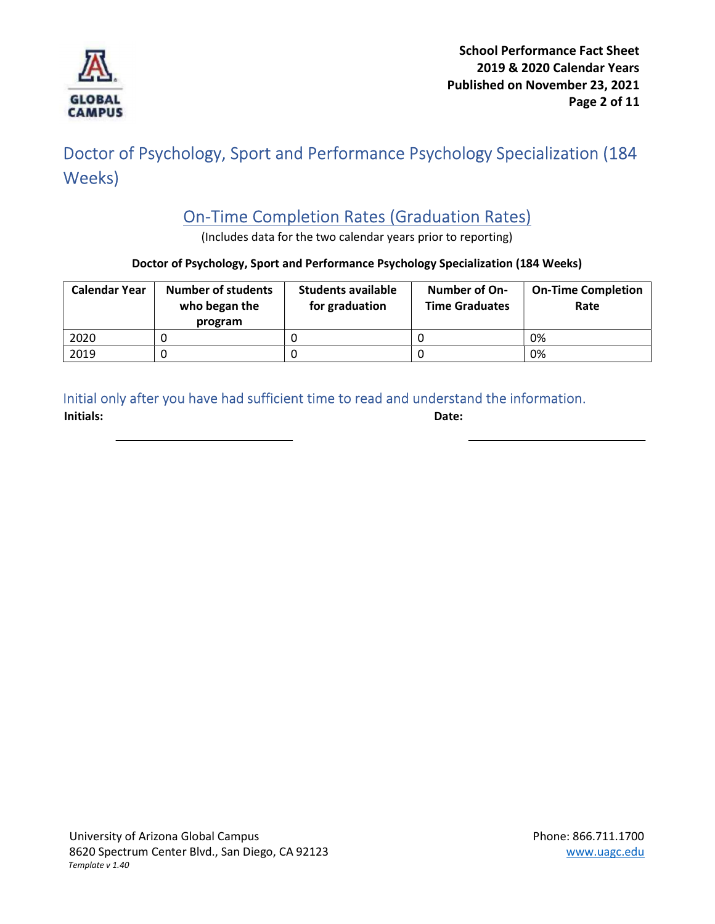

# Doctor of Psychology, Sport and Performance Psychology Specialization (184 Weeks)

# On-Time Completion Rates (Graduation Rates)

(Includes data for the two calendar years prior to reporting)

#### Doctor of Psychology, Sport and Performance Psychology Specialization (184 Weeks)

| <b>Calendar Year</b> | <b>Number of students</b><br>who began the<br>program | <b>Students available</b><br>for graduation | Number of On-<br><b>Time Graduates</b> | <b>On-Time Completion</b><br>Rate |
|----------------------|-------------------------------------------------------|---------------------------------------------|----------------------------------------|-----------------------------------|
| 2020                 |                                                       |                                             |                                        | 0%                                |
| 2019                 |                                                       |                                             |                                        | 0%                                |

### Initial only after you have had sufficient time to read and understand the information.

Initials: Date: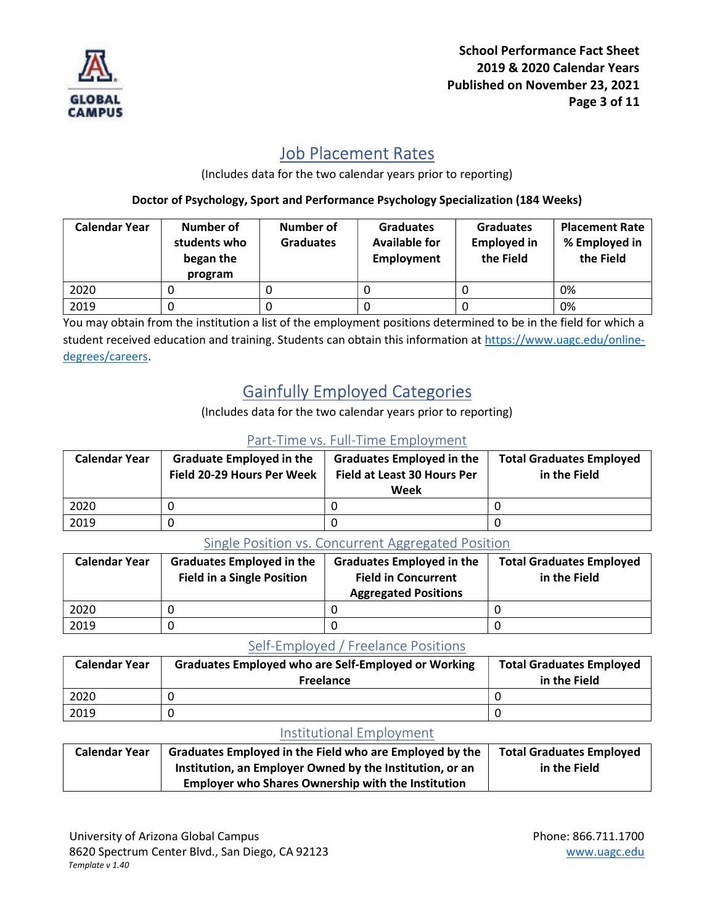

### Job Placement Rates

(Includes data for the two calendar years prior to reporting)

Doctor of Psychology, Sport and Performance Psychology Specialization (184 Weeks)

| <b>Calendar Year</b> | Number of<br>students who<br>began the<br>program | Number of<br><b>Graduates</b> | <b>Graduates</b><br><b>Available for</b><br><b>Employment</b> | <b>Graduates</b><br><b>Employed in</b><br>the Field | <b>Placement Rate</b><br>% Employed in<br>the Field |
|----------------------|---------------------------------------------------|-------------------------------|---------------------------------------------------------------|-----------------------------------------------------|-----------------------------------------------------|
| 2020                 |                                                   |                               | U                                                             |                                                     | 0%                                                  |
| 2019                 |                                                   |                               |                                                               |                                                     | 0%                                                  |

You may obtain from the institution a list of the employment positions determined to be in the field for which a student received education and training. Students can obtain this information at https://www.uagc.edu/onlinedegrees/careers.

# Gainfully Employed Categories

(Includes data for the two calendar years prior to reporting)

### Part-Time vs. Full-Time Employment

| <b>Calendar Year</b> | <b>Graduate Employed in the</b><br>Field 20-29 Hours Per Week | <b>Graduates Employed in the</b><br><b>Field at Least 30 Hours Per</b><br>Week | <b>Total Graduates Employed</b><br>in the Field |
|----------------------|---------------------------------------------------------------|--------------------------------------------------------------------------------|-------------------------------------------------|
| 2020                 |                                                               |                                                                                |                                                 |
| 2019                 |                                                               |                                                                                |                                                 |

#### Single Position vs. Concurrent Aggregated Position

| <b>Calendar Year</b> | <b>Graduates Employed in the</b><br><b>Field in a Single Position</b> | <b>Graduates Employed in the</b><br><b>Field in Concurrent</b><br><b>Aggregated Positions</b> | <b>Total Graduates Employed</b><br>in the Field |
|----------------------|-----------------------------------------------------------------------|-----------------------------------------------------------------------------------------------|-------------------------------------------------|
| 2020                 |                                                                       |                                                                                               |                                                 |
| 2019                 |                                                                       |                                                                                               |                                                 |

### Self-Employed / Freelance Positions

| <b>Calendar Year</b> | <b>Graduates Employed who are Self-Employed or Working</b><br><b>Freelance</b> | <b>Total Graduates Employed</b><br>in the Field |
|----------------------|--------------------------------------------------------------------------------|-------------------------------------------------|
| 2020                 |                                                                                |                                                 |
| 2019                 |                                                                                |                                                 |

### Institutional Employment

| <b>Calendar Year</b> | Graduates Employed in the Field who are Employed by the   | <b>Total Graduates Employed</b> |
|----------------------|-----------------------------------------------------------|---------------------------------|
|                      | Institution, an Employer Owned by the Institution, or an  | in the Field                    |
|                      | <b>Employer who Shares Ownership with the Institution</b> |                                 |

University of Arizona Global Campus **Phone: 866.711.1700** 8620 Spectrum Center Blvd., San Diego, CA 92123 www.uagc.edu Template v 1.40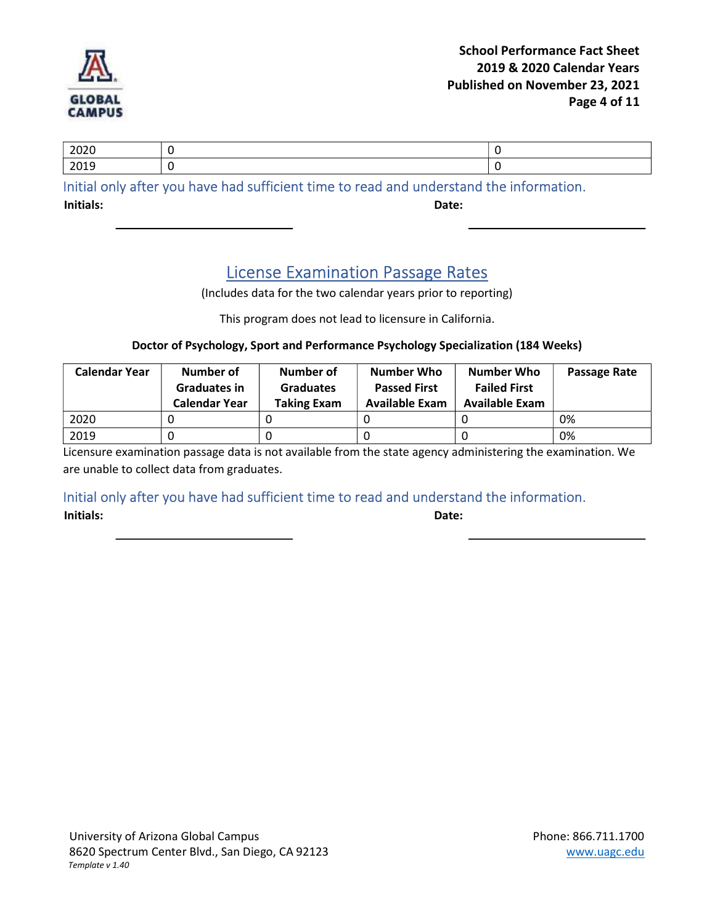

| 2010<br>---- | zvzu |  |
|--------------|------|--|
|              |      |  |

Initial only after you have had sufficient time to read and understand the information.

Initials: Date:

### License Examination Passage Rates

(Includes data for the two calendar years prior to reporting)

This program does not lead to licensure in California.

#### Doctor of Psychology, Sport and Performance Psychology Specialization (184 Weeks)

| <b>Calendar Year</b> | Number of<br><b>Graduates in</b><br>Calendar Year | Number of<br><b>Graduates</b><br><b>Taking Exam</b> | <b>Number Who</b><br><b>Passed First</b><br><b>Available Exam</b> | <b>Number Who</b><br><b>Failed First</b><br><b>Available Exam</b> | Passage Rate |
|----------------------|---------------------------------------------------|-----------------------------------------------------|-------------------------------------------------------------------|-------------------------------------------------------------------|--------------|
| 2020                 |                                                   |                                                     |                                                                   |                                                                   | 0%           |
| 2019                 |                                                   |                                                     |                                                                   |                                                                   | 0%           |

Licensure examination passage data is not available from the state agency administering the examination. We are unable to collect data from graduates.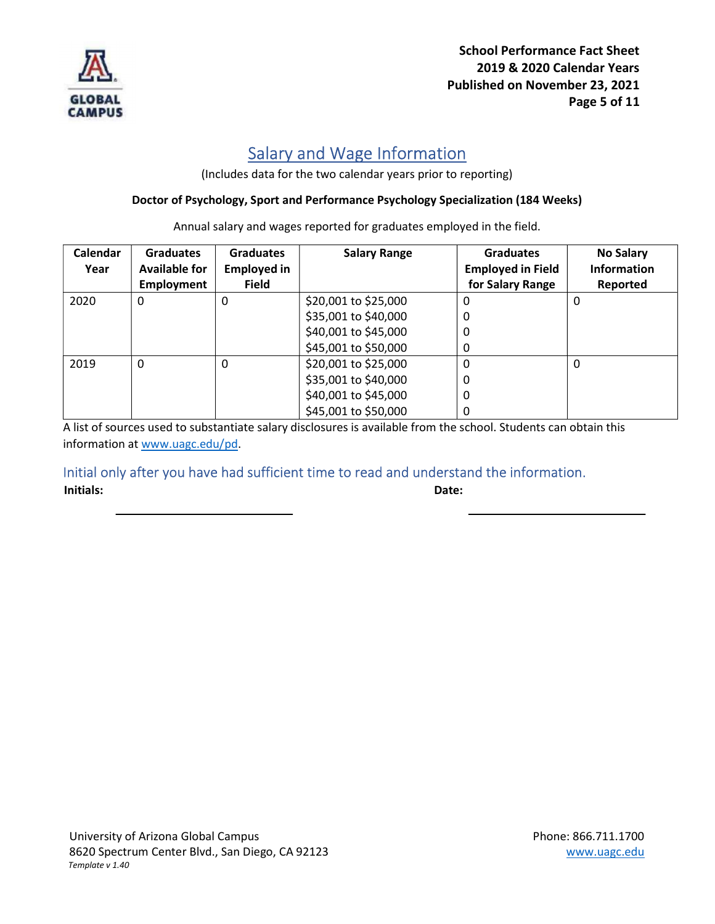

School Performance Fact Sheet 2019 & 2020 Calendar Years Published on November 23, 2021 Page 5 of 11

## Salary and Wage Information

(Includes data for the two calendar years prior to reporting)

#### Doctor of Psychology, Sport and Performance Psychology Specialization (184 Weeks)

| Calendar<br>Year | <b>Graduates</b><br><b>Available for</b> | <b>Graduates</b><br><b>Employed in</b> | <b>Salary Range</b>  | <b>Graduates</b><br><b>Employed in Field</b> | <b>No Salary</b><br><b>Information</b> |
|------------------|------------------------------------------|----------------------------------------|----------------------|----------------------------------------------|----------------------------------------|
|                  | <b>Employment</b>                        | <b>Field</b>                           |                      | for Salary Range                             | Reported                               |
| 2020             | 0                                        | 0                                      | \$20,001 to \$25,000 | 0                                            | 0                                      |
|                  |                                          |                                        | \$35,001 to \$40,000 | 0                                            |                                        |
|                  |                                          |                                        | \$40,001 to \$45,000 | 0                                            |                                        |
|                  |                                          |                                        | \$45,001 to \$50,000 | 0                                            |                                        |
| 2019             | 0                                        | 0                                      | \$20,001 to \$25,000 | $\Omega$                                     | 0                                      |
|                  |                                          |                                        | \$35,001 to \$40,000 | 0                                            |                                        |
|                  |                                          |                                        | \$40,001 to \$45,000 | 0                                            |                                        |
|                  |                                          |                                        | \$45,001 to \$50,000 | 0                                            |                                        |

Annual salary and wages reported for graduates employed in the field.

A list of sources used to substantiate salary disclosures is available from the school. Students can obtain this information at www.uagc.edu/pd.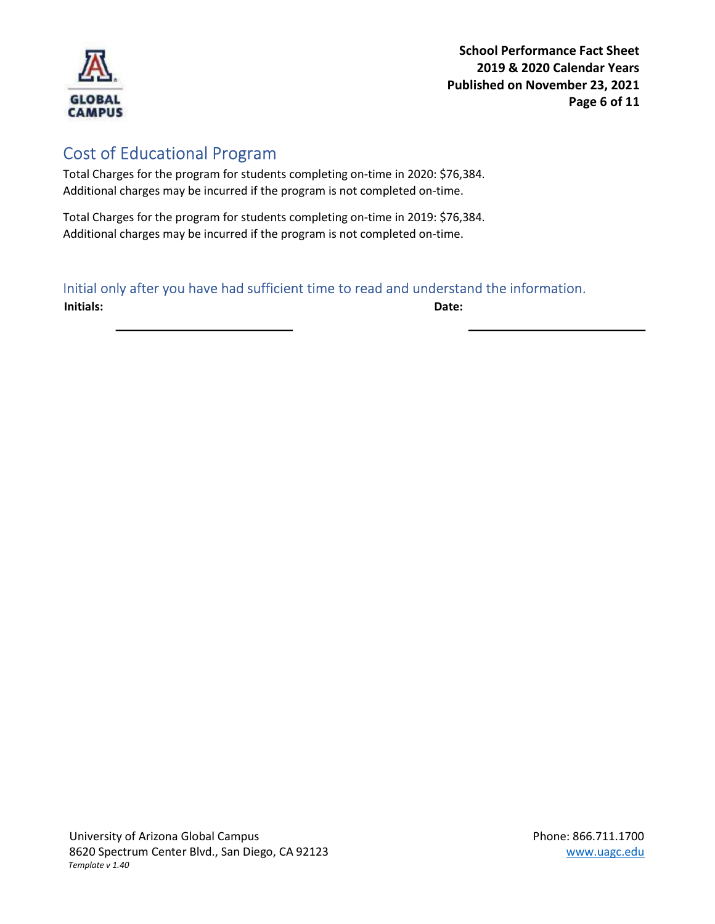

School Performance Fact Sheet 2019 & 2020 Calendar Years Published on November 23, 2021 Page 6 of 11

## Cost of Educational Program

Total Charges for the program for students completing on-time in 2020: \$76,384. Additional charges may be incurred if the program is not completed on-time.

Total Charges for the program for students completing on-time in 2019: \$76,384. Additional charges may be incurred if the program is not completed on-time.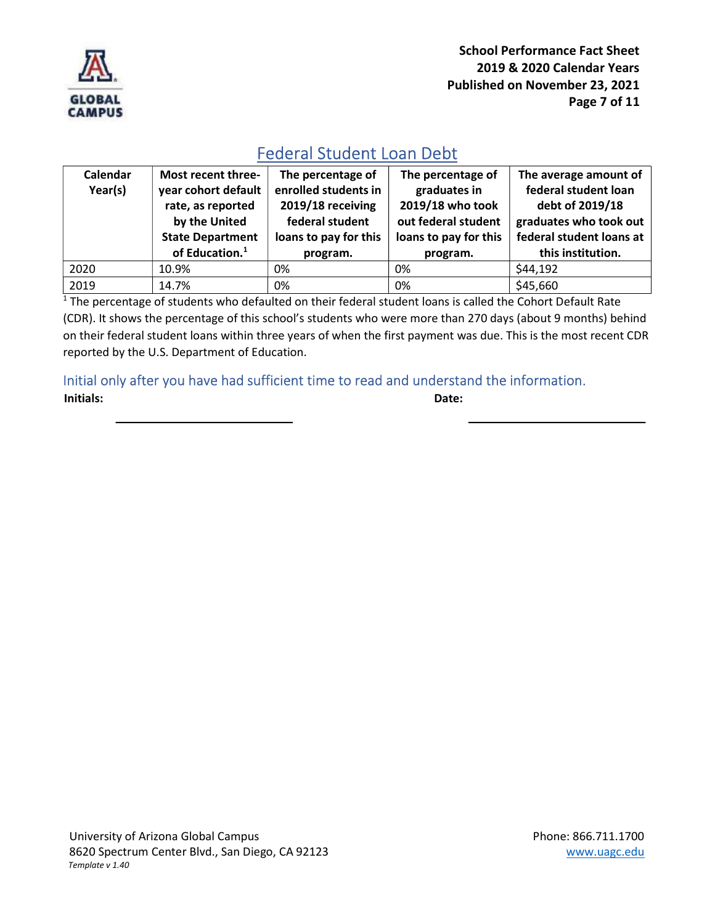

School Performance Fact Sheet 2019 & 2020 Calendar Years Published on November 23, 2021 Page 7 of 11

## Federal Student Loan Debt

| Calendar<br>Year(s) | Most recent three-<br>year cohort default<br>rate, as reported<br>by the United<br><b>State Department</b><br>of Education. <sup>1</sup> | The percentage of<br>enrolled students in<br>2019/18 receiving<br>federal student<br>loans to pay for this<br>program. | The percentage of<br>graduates in<br>2019/18 who took<br>out federal student<br>loans to pay for this<br>program. | The average amount of<br>federal student loan<br>debt of 2019/18<br>graduates who took out<br>federal student loans at<br>this institution. |
|---------------------|------------------------------------------------------------------------------------------------------------------------------------------|------------------------------------------------------------------------------------------------------------------------|-------------------------------------------------------------------------------------------------------------------|---------------------------------------------------------------------------------------------------------------------------------------------|
| 2020                | 10.9%                                                                                                                                    | 0%                                                                                                                     | 0%                                                                                                                | \$44,192                                                                                                                                    |
| 2019                | 14.7%                                                                                                                                    | 0%                                                                                                                     | 0%                                                                                                                | \$45,660                                                                                                                                    |

 $1$  The percentage of students who defaulted on their federal student loans is called the Cohort Default Rate (CDR). It shows the percentage of this school's students who were more than 270 days (about 9 months) behind on their federal student loans within three years of when the first payment was due. This is the most recent CDR reported by the U.S. Department of Education.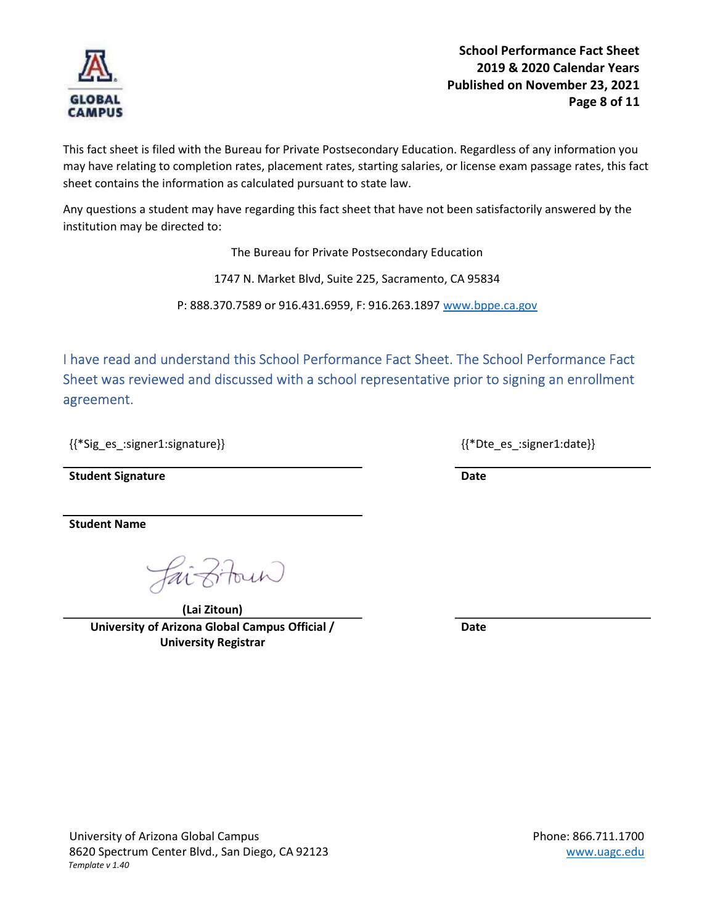

This fact sheet is filed with the Bureau for Private Postsecondary Education. Regardless of any information you may have relating to completion rates, placement rates, starting salaries, or license exam passage rates, this fact sheet contains the information as calculated pursuant to state law.

Any questions a student may have regarding this fact sheet that have not been satisfactorily answered by the institution may be directed to:

The Bureau for Private Postsecondary Education

1747 N. Market Blvd, Suite 225, Sacramento, CA 95834

P: 888.370.7589 or 916.431.6959, F: 916.263.1897 www.bppe.ca.gov

I have read and understand this School Performance Fact Sheet. The School Performance Fact Sheet was reviewed and discussed with a school representative prior to signing an enrollment agreement.

{{\*Sig\_es\_:signer1:signature}} {{\*Dte\_es\_:signer1:date}}

Student Signature Date Date Communications and Date Date

Student Name

(Lai Zitoun) University of Arizona Global Campus Official / University Registrar

Date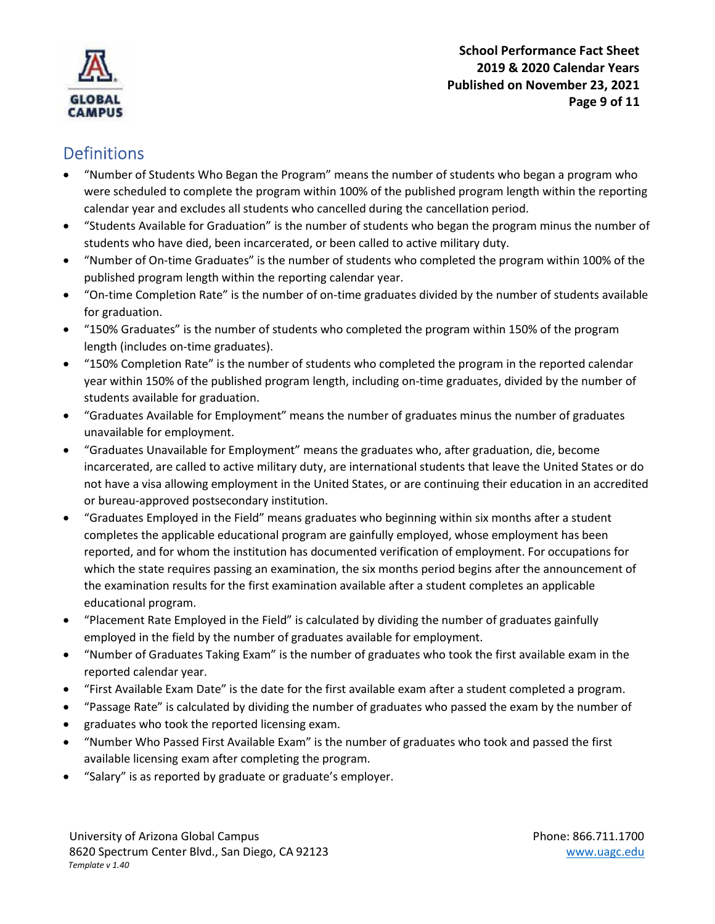

School Performance Fact Sheet 2019 & 2020 Calendar Years Published on November 23, 2021 Page 9 of 11

## **Definitions**

- "Number of Students Who Began the Program" means the number of students who began a program who were scheduled to complete the program within 100% of the published program length within the reporting calendar year and excludes all students who cancelled during the cancellation period.
- "Students Available for Graduation" is the number of students who began the program minus the number of students who have died, been incarcerated, or been called to active military duty.
- "Number of On-time Graduates" is the number of students who completed the program within 100% of the published program length within the reporting calendar year.
- "On-time Completion Rate" is the number of on-time graduates divided by the number of students available for graduation.
- "150% Graduates" is the number of students who completed the program within 150% of the program length (includes on-time graduates).
- "150% Completion Rate" is the number of students who completed the program in the reported calendar year within 150% of the published program length, including on-time graduates, divided by the number of students available for graduation.
- "Graduates Available for Employment" means the number of graduates minus the number of graduates unavailable for employment.
- "Graduates Unavailable for Employment" means the graduates who, after graduation, die, become incarcerated, are called to active military duty, are international students that leave the United States or do not have a visa allowing employment in the United States, or are continuing their education in an accredited or bureau-approved postsecondary institution.
- "Graduates Employed in the Field" means graduates who beginning within six months after a student completes the applicable educational program are gainfully employed, whose employment has been reported, and for whom the institution has documented verification of employment. For occupations for which the state requires passing an examination, the six months period begins after the announcement of the examination results for the first examination available after a student completes an applicable educational program.
- "Placement Rate Employed in the Field" is calculated by dividing the number of graduates gainfully employed in the field by the number of graduates available for employment.
- "Number of Graduates Taking Exam" is the number of graduates who took the first available exam in the reported calendar year.
- "First Available Exam Date" is the date for the first available exam after a student completed a program.
- "Passage Rate" is calculated by dividing the number of graduates who passed the exam by the number of
- graduates who took the reported licensing exam.
- "Number Who Passed First Available Exam" is the number of graduates who took and passed the first available licensing exam after completing the program.
- "Salary" is as reported by graduate or graduate's employer.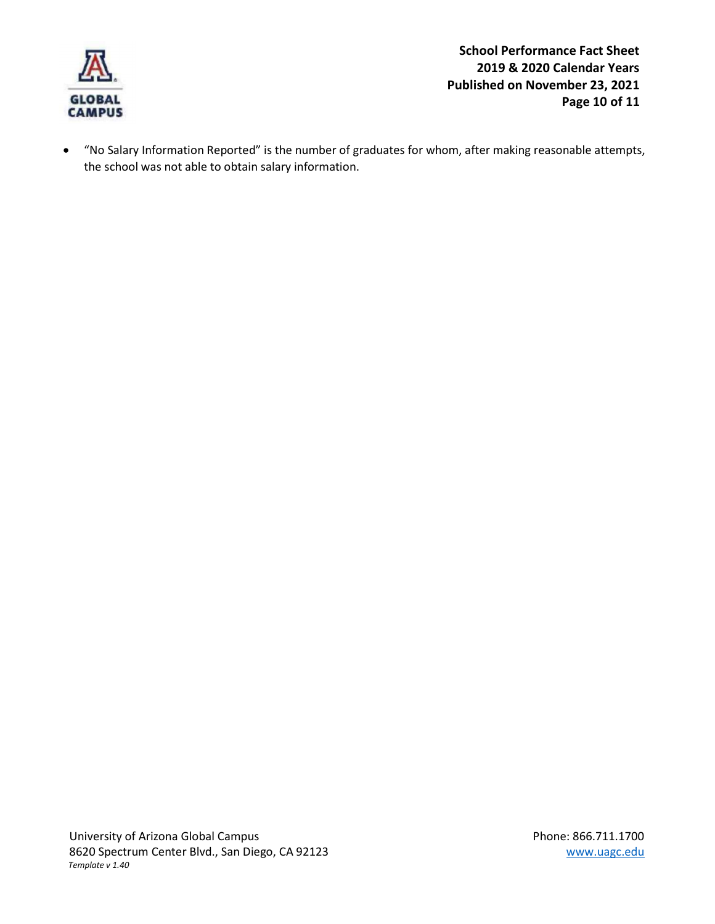

 "No Salary Information Reported" is the number of graduates for whom, after making reasonable attempts, the school was not able to obtain salary information.